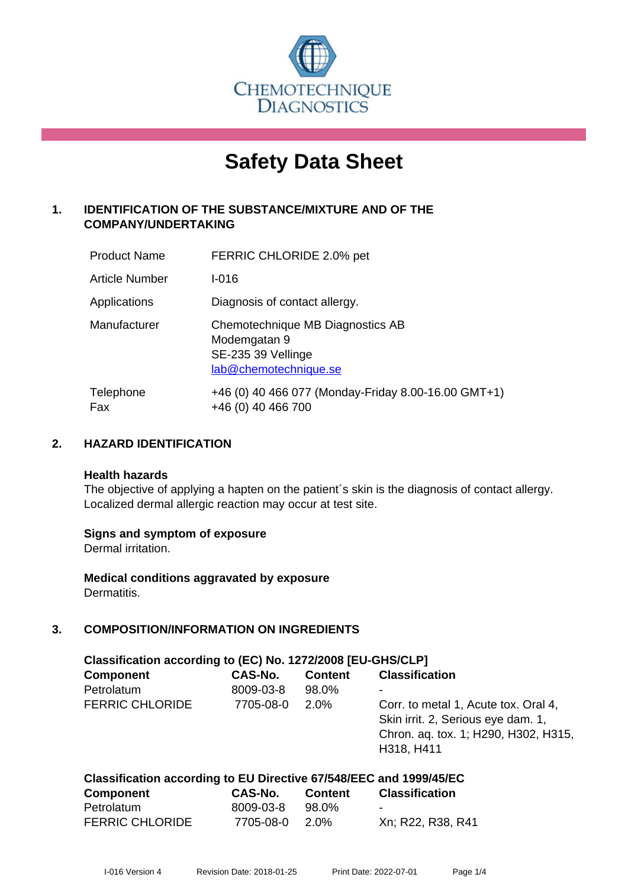

# **Safety Data Sheet**

# **1. IDENTIFICATION OF THE SUBSTANCE/MIXTURE AND OF THE COMPANY/UNDERTAKING**

| <b>Product Name</b>   | FERRIC CHLORIDE 2.0% pet                                                                        |
|-----------------------|-------------------------------------------------------------------------------------------------|
| <b>Article Number</b> | $I - 016$                                                                                       |
| Applications          | Diagnosis of contact allergy.                                                                   |
| Manufacturer          | Chemotechnique MB Diagnostics AB<br>Modemgatan 9<br>SE-235 39 Vellinge<br>lab@chemotechnique.se |
| Telephone<br>Fax      | +46 (0) 40 466 077 (Monday-Friday 8.00-16.00 GMT+1)<br>+46 (0) 40 466 700                       |

#### **2. HAZARD IDENTIFICATION**

#### **Health hazards**

The objective of applying a hapten on the patient's skin is the diagnosis of contact allergy. Localized dermal allergic reaction may occur at test site.

#### **Signs and symptom of exposure**

Dermal irritation.

**Medical conditions aggravated by exposure** Dermatitis.

# **3. COMPOSITION/INFORMATION ON INGREDIENTS**

| Classification according to (EC) No. 1272/2008 [EU-GHS/CLP] |           |                |                                                                                                                                  |  |  |
|-------------------------------------------------------------|-----------|----------------|----------------------------------------------------------------------------------------------------------------------------------|--|--|
| <b>Component</b>                                            | CAS-No.   | <b>Content</b> | <b>Classification</b>                                                                                                            |  |  |
| Petrolatum                                                  | 8009-03-8 | 98.0%          | ۰                                                                                                                                |  |  |
| <b>FERRIC CHLORIDE</b>                                      | 7705-08-0 | $2.0\%$        | Corr. to metal 1, Acute tox. Oral 4,<br>Skin irrit. 2, Serious eye dam. 1,<br>Chron. aq. tox. 1; H290, H302, H315,<br>H318, H411 |  |  |

| Classification according to EU Directive 67/548/EEC and 1999/45/EC |           |                |                       |  |  |
|--------------------------------------------------------------------|-----------|----------------|-----------------------|--|--|
| Component                                                          | CAS-No.   | <b>Content</b> | <b>Classification</b> |  |  |
| Petrolatum                                                         | 8009-03-8 | 98.0%          | $\blacksquare$        |  |  |
| <b>FERRIC CHLORIDE</b>                                             | 7705-08-0 | 2.0%           | Xn; R22, R38, R41     |  |  |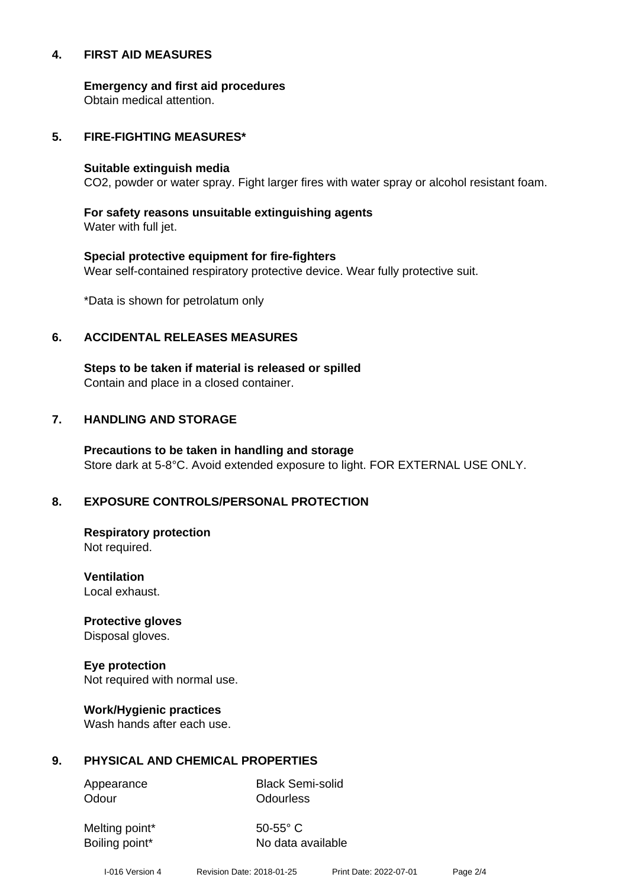#### **4. FIRST AID MEASURES**

**Emergency and first aid procedures**

Obtain medical attention.

#### **5. FIRE-FIGHTING MEASURES\***

#### **Suitable extinguish media**

CO2, powder or water spray. Fight larger fires with water spray or alcohol resistant foam.

# **For safety reasons unsuitable extinguishing agents**

Water with full jet.

# **Special protective equipment for fire-fighters** Wear self-contained respiratory protective device. Wear fully protective suit.

\*Data is shown for petrolatum only

#### **6. ACCIDENTAL RELEASES MEASURES**

**Steps to be taken if material is released or spilled** Contain and place in a closed container.

# **7. HANDLING AND STORAGE**

**Precautions to be taken in handling and storage** Store dark at 5-8°C. Avoid extended exposure to light. FOR EXTERNAL USE ONLY.

# **8. EXPOSURE CONTROLS/PERSONAL PROTECTION**

**Respiratory protection** Not required.

**Ventilation** Local exhaust.

**Protective gloves** Disposal gloves.

# **Eye protection**

Not required with normal use.

#### **Work/Hygienic practices**

Wash hands after each use.

#### **9. PHYSICAL AND CHEMICAL PROPERTIES**

Odour **Odourless** 

Appearance Black Semi-solid

Melting point\* 50-55° C

Boiling point\* No data available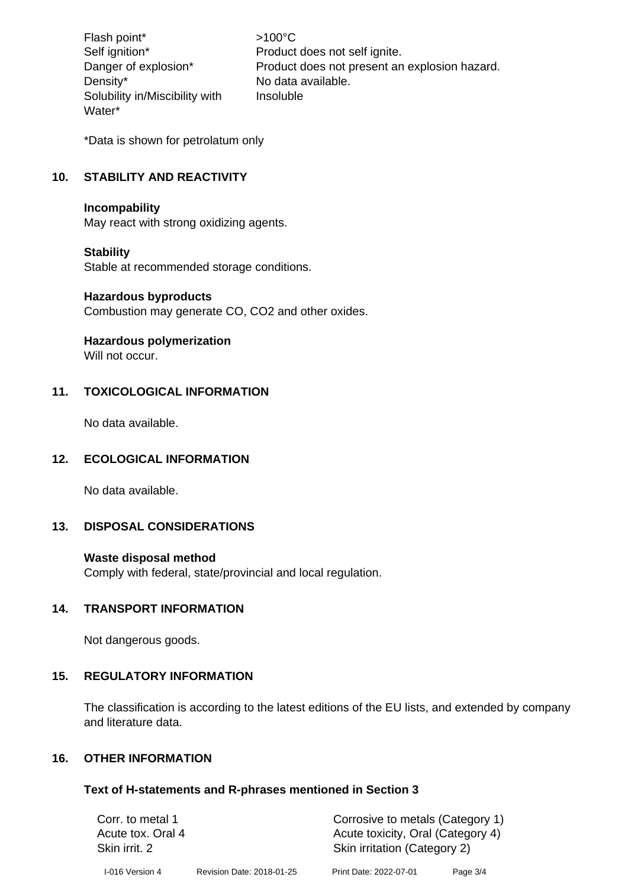Flash point\*  $>100^{\circ}$ C Density\* No data available. Solubility in/Miscibility with Water\*

Self ignition\* Product does not self ignite. Danger of explosion\* Product does not present an explosion hazard. Insoluble

\*Data is shown for petrolatum only

# **10. STABILITY AND REACTIVITY**

#### **Incompability**

May react with strong oxidizing agents.

#### **Stability**

Stable at recommended storage conditions.

#### **Hazardous byproducts**

Combustion may generate CO, CO2 and other oxides.

#### **Hazardous polymerization**

Will not occur.

#### **11. TOXICOLOGICAL INFORMATION**

No data available.

#### **12. ECOLOGICAL INFORMATION**

No data available.

#### **13. DISPOSAL CONSIDERATIONS**

#### **Waste disposal method**

Comply with federal, state/provincial and local regulation.

#### **14. TRANSPORT INFORMATION**

Not dangerous goods.

#### **15. REGULATORY INFORMATION**

The classification is according to the latest editions of the EU lists, and extended by company and literature data.

# **16. OTHER INFORMATION**

#### **Text of H-statements and R-phrases mentioned in Section 3**

| Corr. to metal 1<br>Acute tox. Oral 4<br>Skin irrit. 2 |                           |                        | Corrosive to metals (Category 1)<br>Acute toxicity, Oral (Category 4)<br>Skin irritation (Category 2) |  |
|--------------------------------------------------------|---------------------------|------------------------|-------------------------------------------------------------------------------------------------------|--|
| I-016 Version 4                                        | Revision Date: 2018-01-25 | Print Date: 2022-07-01 | Page 3/4                                                                                              |  |